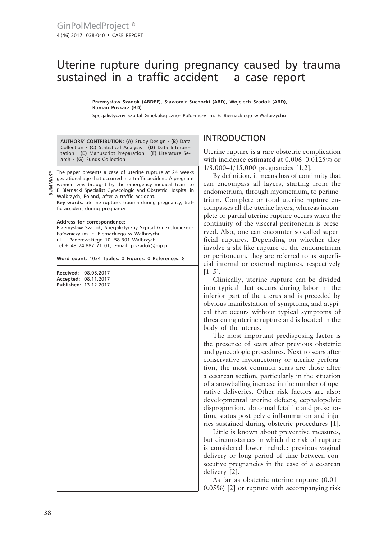# Uterine rupture during pregnancy caused by trauma sustained in a traffic accident – a case report

**Przemysław Szadok (ABDEF), Sławomir Suchocki (ABD), Wojciech Szadok (ABD), Roman Puskarz (BD)**

Specjalistyczny Szpital Ginekologiczno- Położniczy im. E. Biernackiego w Wałbrzychu

**AUTHORS' CONTRIBUTION: (A)** Study Design · **(B)** Data Collection · **(C)** Statistical Analysis · **(D)** Data Interpretation · **(E)** Manuscript Preparation · **(F)** Literature Search · **(G)** Funds Collection

The paper presents a case of uterine rupture at 24 weeks gestational age that occurred in a traffic accident. A pregnant women was brought by the emergency medical team to E. Biernacki Specialist Gynecologic and Obstetric Hospital in Wałbrzych, Poland, after a traffic accident. **Key words:** uterine rupture, trauma during pregnancy, traffic accident during pregnancy

#### **Address for correspondence:**

**SUMMARY**

Przemysław Szadok, Specjalistyczny Szpital Ginekologiczno-Położniczy im. E. Biernackiego w Wałbrzychu ul. I. Paderewskiego 10, 58-301 Wałbrzych Tel.+ 48 74 887 71 01; e-mail: p.szadok@mp.pl

**Word count:** 1034 **Tables:** 0 **Figures:** 0 **References:** 8

**Received:** 08.05.2017 **Accepted:** 08.11.2017 **Published:** 13.12.2017

# INTRODUCTION

Uterine rupture is a rare obstetric complication with incidence estimated at 0.006–0.0125% or 1/8,000–1/15,000 pregnancies [1,2].

By definition, it means loss of continuity that can encompass all layers, starting from the endometrium, through myometrium, to perimetrium. Complete or total uterine rupture encompasses all the uterine layers, whereas incomplete or partial uterine rupture occurs when the continuity of the visceral peritoneum is preserved. Also, one can encounter so-called superficial ruptures. Depending on whether they involve a slit-like rupture of the endometrium or peritoneum, they are referred to as superficial internal or external ruptures, respectively  $[1-5]$ .

Clinically, uterine rupture can be divided into typical that occurs during labor in the inferior part of the uterus and is preceded by obvious manifestation of symptoms, and atypical that occurs without typical symptoms of threatening uterine rupture and is located in the body of the uterus.

The most important predisposing factor is the presence of scars after previous obstetric and gynecologic procedures. Next to scars after conservative myomectomy or uterine perforation, the most common scars are those after a cesarean section, particularly in the situation of a snowballing increase in the number of operative deliveries. Other risk factors are also: developmental uterine defects, cephalopelvic disproportion, abnormal fetal lie and presentation, status post pelvic inflammation and injuries sustained during obstetric procedures [1].

Little is known about preventive measures, but circumstances in which the risk of rupture is considered lower include: previous vaginal delivery or long period of time between consecutive pregnancies in the case of a cesarean delivery [2].

As far as obstetric uterine rupture (0.01– 0.05%) [2] or rupture with accompanying risk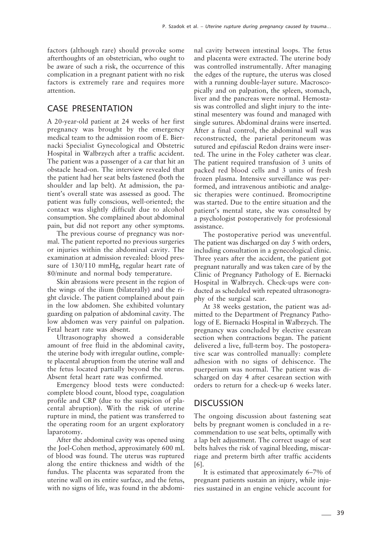factors (although rare) should provoke some afterthoughts of an obstetrician, who ought to be aware of such a risk, the occurrence of this complication in a pregnant patient with no risk factors is extremely rare and requires more attention.

## CASE PRESENTATION

A 20-year-old patient at 24 weeks of her first pregnancy was brought by the emergency medical team to the admission room of E. Biernacki Specialist Gynecological and Obstetric Hospital in Wałbrzych after a traffic accident. The patient was a passenger of a car that hit an obstacle head-on. The interview revealed that the patient had her seat belts fastened (both the shoulder and lap belt). At admission, the patient's overall state was assessed as good. The patient was fully conscious, well-oriented; the contact was slightly difficult due to alcohol consumption. She complained about abdominal pain, but did not report any other symptoms.

The previous course of pregnancy was normal. The patient reported no previous surgeries or injuries within the abdominal cavity. The examination at admission revealed: blood pressure of 130/110 mmHg, regular heart rate of 80/minute and normal body temperature.

Skin abrasions were present in the region of the wings of the ilium (bilaterally) and the right clavicle. The patient complained about pain in the low abdomen. She exhibited voluntary guarding on palpation of abdominal cavity. The low abdomen was very painful on palpation. Fetal heart rate was absent.

Ultrasonography showed a considerable amount of free fluid in the abdominal cavity, the uterine body with irregular outline, complete placental abruption from the uterine wall and the fetus located partially beyond the uterus. Absent fetal heart rate was confirmed.

Emergency blood tests were conducted: complete blood count, blood type, coagulation profile and CRP (due to the suspicion of placental abruption). With the risk of uterine rupture in mind, the patient was transferred to the operating room for an urgent exploratory laparotomy.

After the abdominal cavity was opened using the Joel-Cohen method, approximately 600 mL of blood was found. The uterus was ruptured along the entire thickness and width of the fundus. The placenta was separated from the uterine wall on its entire surface, and the fetus, with no signs of life, was found in the abdominal cavity between intestinal loops. The fetus and placenta were extracted. The uterine body was controlled instrumentally. After managing the edges of the rupture, the uterus was closed with a running double-layer suture. Macroscopically and on palpation, the spleen, stomach, liver and the pancreas were normal. Hemostasis was controlled and slight injury to the intestinal mesentery was found and managed with single sutures. Abdominal drains were inserted. After a final control, the abdominal wall was reconstructed, the parietal peritoneum was sutured and epifascial Redon drains were inserted. The urine in the Foley catheter was clear. The patient required transfusion of 3 units of packed red blood cells and 3 units of fresh frozen plasma. Intensive surveillance was performed, and intravenous antibiotic and analgesic therapies were continued. Bromocriptine was started. Due to the entire situation and the patient's mental state, she was consulted by a psychologist postoperatively for professional assistance.

The postoperative period was uneventful. The patient was discharged on day 5 with orders, including consultation in a gynecological clinic. Three years after the accident, the patient got pregnant naturally and was taken care of by the Clinic of Pregnancy Pathology of E. Biernacki Hospital in Wałbrzych. Check-ups were conducted as scheduled with repeated ultrasonography of the surgical scar.

At 38 weeks gestation, the patient was admitted to the Department of Pregnancy Pathology of E. Biernacki Hospital in Wałbrzych. The pregnancy was concluded by elective cesarean section when contractions began. The patient delivered a live, full-term boy. The postoperative scar was controlled manually: complete adhesion with no signs of dehiscence. The puerperium was normal. The patient was discharged on day 4 after cesarean section with orders to return for a check-up 6 weeks later.

### **DISCUSSION**

The ongoing discussion about fastening seat belts by pregnant women is concluded in a recommendation to use seat belts, optimally with a lap belt adjustment. The correct usage of seat belts halves the risk of vaginal bleeding, miscarriage and preterm birth after traffic accidents [6].

It is estimated that approximately 6–7% of pregnant patients sustain an injury, while injuries sustained in an engine vehicle account for